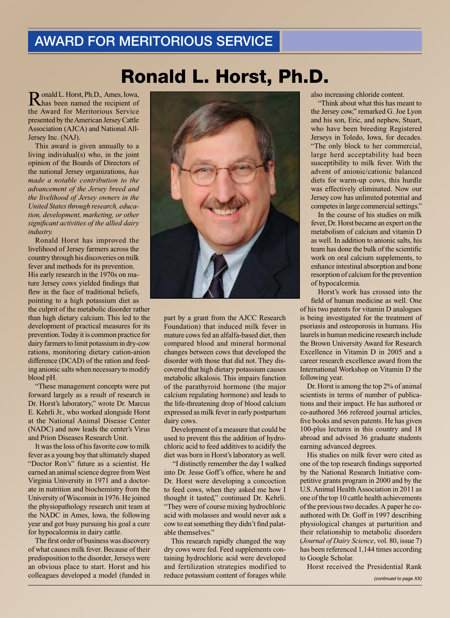## AWARD FOR MERITORIOUS SERVICE

## Ronald L. Horst, Ph.D.

R onald L. Horst, Ph.D., Ames, Iowa,<br>has been named the recipient of has been named the recipient of the Award for Meritorious Service presented by the American Jersey Cattle Association (AJCA) and National All-Jersey Inc. (NAJ).

 This award is given annually to a living individual(s) who, in the joint opinion of the Boards of Directors of the national Jersey organizations, *has made a notable contribution to the advancement of the Jersey breed and the livelihood of Jersey owners in the United States through research, education, development, marketing, or other significant activities of the allied dairy industry.*

 Ronald Horst has improved the livelihood of Jersey farmers across the country through his discoveries on milk fever and methods for its prevention. His early research in the 1970s on mature Jersey cows yielded findings that flew in the face of traditional beliefs, pointing to a high potassium diet as the culprit of the metabolic disorder rather than high dietary calcium. This led to the development of practical measures for its prevention. Today it is common practice for dairy farmers to limit potassium in dry-cow rations, monitoring dietary cation-anion difference (DCAD) of the ration and feeding anionic salts when necessary to modify blood pH.

 "These management concepts were put forward largely as a result of research in Dr. Horst's laboratory," wrote Dr. Marcus E. Kehrli Jr., who worked alongside Horst at the National Animal Disease Center (NADC) and now leads the center's Virus and Prion Diseases Research Unit.

 It was the loss of his favorite cow to milk fever as a young boy that ultimately shaped "Doctor Ron's" future as a scientist. He earned an animal science degree from West Virginia University in 1971 and a doctorate in nutrition and biochemistry from the University of Wisconsin in 1976. He joined the physiopathology research unit team at the NADC in Ames, Iowa, the following year and got busy pursuing his goala cure for hypocalcemia in dairy cattle.

 The first order of business was discovery of what causes milk fever. Because of their predisposition to the disorder, Jerseys were an obvious place to start. Horst and his colleagues developed a model (funded in



part by a grant from the AJCC Research Foundation) that induced milk fever in mature cows fed an alfalfa-based diet, then compared blood and mineral hormonal changes between cows that developed the disorder with those that did not. They discovered that high dietary potassium causes metabolic alkalosis. This impairs function of the parathyroid hormone (the major calcium regulating hormone) and leads to the life-threatening drop of blood calcium expressed as milk fever in early postpartum dairy cows.

 Development of a measure that could be used to prevent this the addition of hydrochloric acid to feed additives to acidify the diet was born in Horst's laboratory as well.

 "I distinctly remember the day I walked into Dr. Jesse Goff's office, where he and Dr. Horst were developing a concoction to feed cows, when they asked me how I thought it tasted," continued Dr. Kehrli. "They were of course mixing hydrochloric acid with molasses and would never ask a cow to eat something they didn't find palatable themselves."

 This research rapidly changed the way dry cows were fed. Feed supplements containing hydrochloric acid were developed and fertilization strategies modified to reduce potassium content of forages while (continued to page XX)

also increasing chloride content.

 "Think about what this has meant to the Jersey cow," remarked G. Joe Lyon and his son, Eric, and nephew, Stuart, who have been breeding Registered Jerseys in Toledo, Iowa, for decades. "The only block to her commercial, large herd acceptability had been susceptibility to milk fever. With the advent of anionic/cationic balanced diets for warm-up cows, this hurdle was effectively eliminated. Now our Jersey cow has unlimited potential and competes in large commercial settings."

 In the course of his studies on milk fever, Dr. Horst became an expert on the metabolism of calcium and vitamin D as well. In addition to anionic salts, his team has done the bulk of the scientific work on oral calcium supplements, to enhance intestinal absorption and bone resorption of calcium for the prevention of hypocalcemia.

 Horst's work has crossed into the field of human medicine as well. One

of his two patents for vitamin D analogues is being investigated for the treatment of psoriasis and osteoporosis in humans. His laurels in human medicine research include the Brown University Award for Research Excellence in Vitamin D in 2005 and a career research excellence award from the International Workshop on Vitamin D the following year.

 Dr. Horst is among the top 2% of animal scientists in terms of number of publications and their impact. He has authored or co-authored 366 refereed journal articles, five books and seven patents. He has given 100-plus lectures in this country and 18 abroad and advised 36 graduate students earning advanced degrees.

 His studies on milk fever were cited as one of the top research findings supported by the National Research Initiative competitive grants program in 2000 and by the U.S. Animal Health Association in 2011 as one of the top 10 cattle health achievements of the previous two decades. A paper he coauthored with Dr. Goff in 1997 describing physiological changes at parturition and their relationship to metabolic disorders (*Journal of Dairy Science*, vol. 80, issue 7) has been referenced 1,144 times according to Google Scholar.

Horst received the Presidential Rank